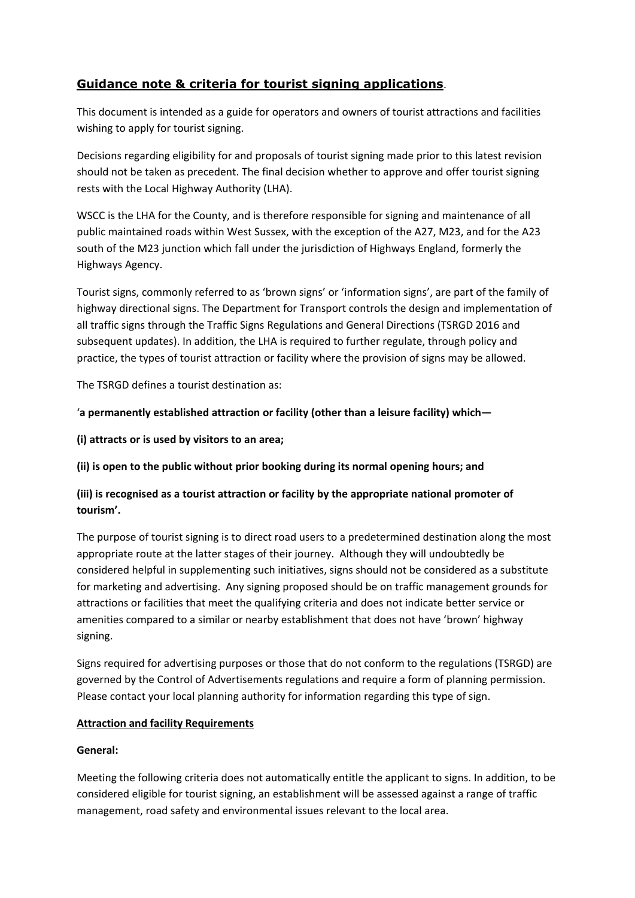# **Guidance note & criteria for tourist signing applications**.

This document is intended as a guide for operators and owners of tourist attractions and facilities wishing to apply for tourist signing.

Decisions regarding eligibility for and proposals of tourist signing made prior to this latest revision should not be taken as precedent. The final decision whether to approve and offer tourist signing rests with the Local Highway Authority (LHA).

WSCC is the LHA for the County, and is therefore responsible for signing and maintenance of all public maintained roads within West Sussex, with the exception of the A27, M23, and for the A23 south of the M23 junction which fall under the jurisdiction of Highways England, formerly the Highways Agency.

Tourist signs, commonly referred to as 'brown signs' or 'information signs', are part of the family of highway directional signs. The Department for Transport controls the design and implementation of all traffic signs through the Traffic Signs Regulations and General Directions (TSRGD 2016 and subsequent updates). In addition, the LHA is required to further regulate, through policy and practice, the types of tourist attraction or facility where the provision of signs may be allowed.

The TSRGD defines a tourist destination as:

# '**a permanently established attraction or facility (other than a leisure facility) which—**

**(i) attracts or is used by visitors to an area;**

**(ii) is open to the public without prior booking during its normal opening hours; and**

# **(iii) is recognised as a tourist attraction or facility by the appropriate national promoter of tourism'.**

The purpose of tourist signing is to direct road users to a predetermined destination along the most appropriate route at the latter stages of their journey. Although they will undoubtedly be considered helpful in supplementing such initiatives, signs should not be considered as a substitute for marketing and advertising. Any signing proposed should be on traffic management grounds for attractions or facilities that meet the qualifying criteria and does not indicate better service or amenities compared to a similar or nearby establishment that does not have 'brown' highway signing.

Signs required for advertising purposes or those that do not conform to the regulations (TSRGD) are governed by the Control of Advertisements regulations and require a form of planning permission. Please contact your local planning authority for information regarding this type of sign.

# **Attraction and facility Requirements**

# **General:**

Meeting the following criteria does not automatically entitle the applicant to signs. In addition, to be considered eligible for tourist signing, an establishment will be assessed against a range of traffic management, road safety and environmental issues relevant to the local area.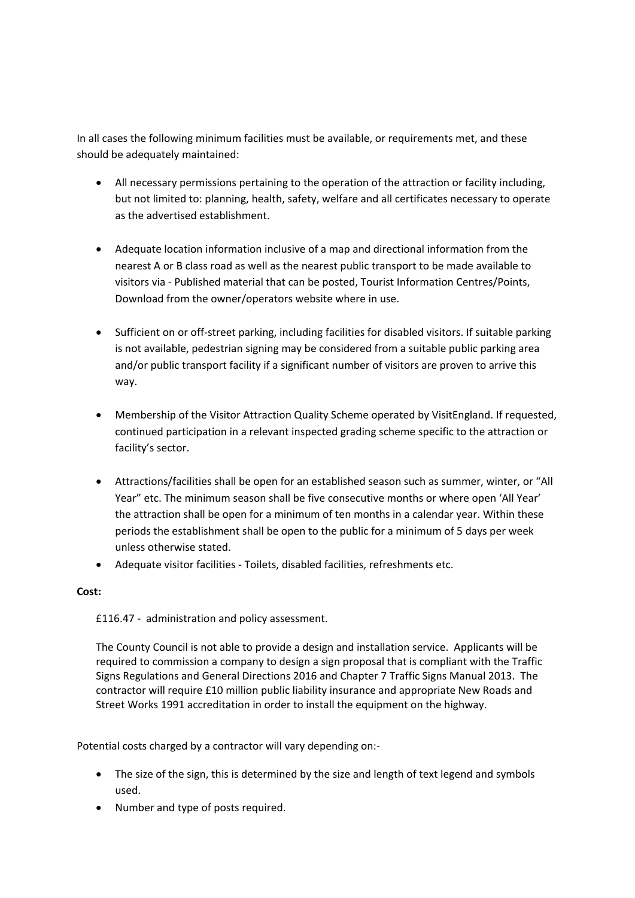In all cases the following minimum facilities must be available, or requirements met, and these should be adequately maintained:

- All necessary permissions pertaining to the operation of the attraction or facility including, but not limited to: planning, health, safety, welfare and all certificates necessary to operate as the advertised establishment.
- Adequate location information inclusive of a map and directional information from the nearest A or B class road as well as the nearest public transport to be made available to visitors via - Published material that can be posted, Tourist Information Centres/Points, Download from the owner/operators website where in use.
- Sufficient on or off-street parking, including facilities for disabled visitors. If suitable parking is not available, pedestrian signing may be considered from a suitable public parking area and/or public transport facility if a significant number of visitors are proven to arrive this way.
- Membership of the Visitor Attraction Quality Scheme operated by VisitEngland. If requested, continued participation in a relevant inspected grading scheme specific to the attraction or facility's sector.
- Attractions/facilities shall be open for an established season such as summer, winter, or "All Year" etc. The minimum season shall be five consecutive months or where open 'All Year' the attraction shall be open for a minimum of ten months in a calendar year. Within these periods the establishment shall be open to the public for a minimum of 5 days per week unless otherwise stated.
- Adequate visitor facilities Toilets, disabled facilities, refreshments etc.

## **Cost:**

£116.47 - administration and policy assessment.

The County Council is not able to provide a design and installation service. Applicants will be required to commission a company to design a sign proposal that is compliant with the Traffic Signs Regulations and General Directions 2016 and Chapter 7 Traffic Signs Manual 2013. The contractor will require £10 million public liability insurance and appropriate New Roads and Street Works 1991 accreditation in order to install the equipment on the highway.

Potential costs charged by a contractor will vary depending on:-

- The size of the sign, this is determined by the size and length of text legend and symbols used.
- Number and type of posts required.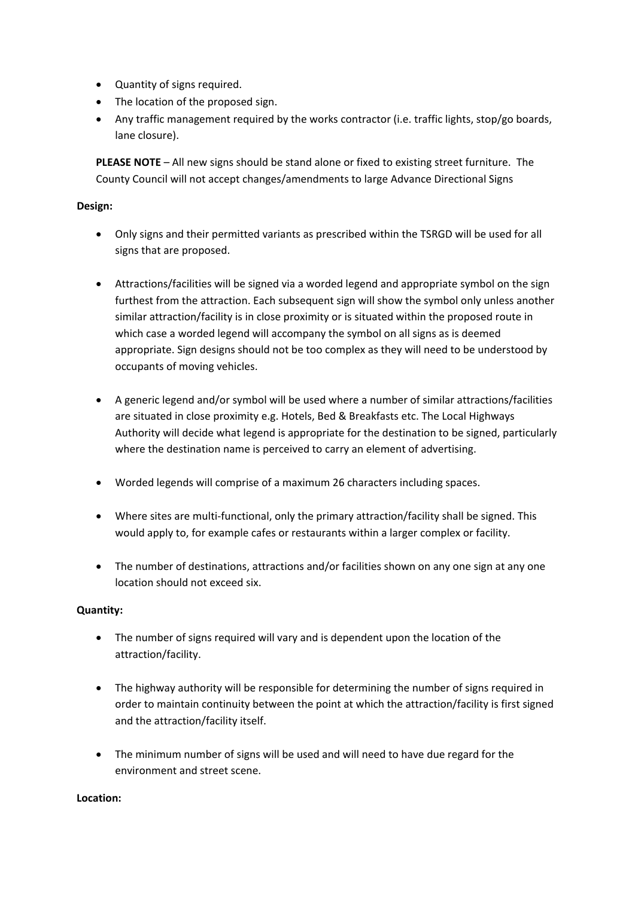- Quantity of signs required.
- The location of the proposed sign.
- Any traffic management required by the works contractor (i.e. traffic lights, stop/go boards, lane closure).

**PLEASE NOTE** – All new signs should be stand alone or fixed to existing street furniture. The County Council will not accept changes/amendments to large Advance Directional Signs

## **Design:**

- Only signs and their permitted variants as prescribed within the TSRGD will be used for all signs that are proposed.
- Attractions/facilities will be signed via a worded legend and appropriate symbol on the sign furthest from the attraction. Each subsequent sign will show the symbol only unless another similar attraction/facility is in close proximity or is situated within the proposed route in which case a worded legend will accompany the symbol on all signs as is deemed appropriate. Sign designs should not be too complex as they will need to be understood by occupants of moving vehicles.
- A generic legend and/or symbol will be used where a number of similar attractions/facilities are situated in close proximity e.g. Hotels, Bed & Breakfasts etc. The Local Highways Authority will decide what legend is appropriate for the destination to be signed, particularly where the destination name is perceived to carry an element of advertising.
- Worded legends will comprise of a maximum 26 characters including spaces.
- Where sites are multi-functional, only the primary attraction/facility shall be signed. This would apply to, for example cafes or restaurants within a larger complex or facility.
- The number of destinations, attractions and/or facilities shown on any one sign at any one location should not exceed six.

# **Quantity:**

- The number of signs required will vary and is dependent upon the location of the attraction/facility.
- The highway authority will be responsible for determining the number of signs required in order to maintain continuity between the point at which the attraction/facility is first signed and the attraction/facility itself.
- The minimum number of signs will be used and will need to have due regard for the environment and street scene.

## **Location:**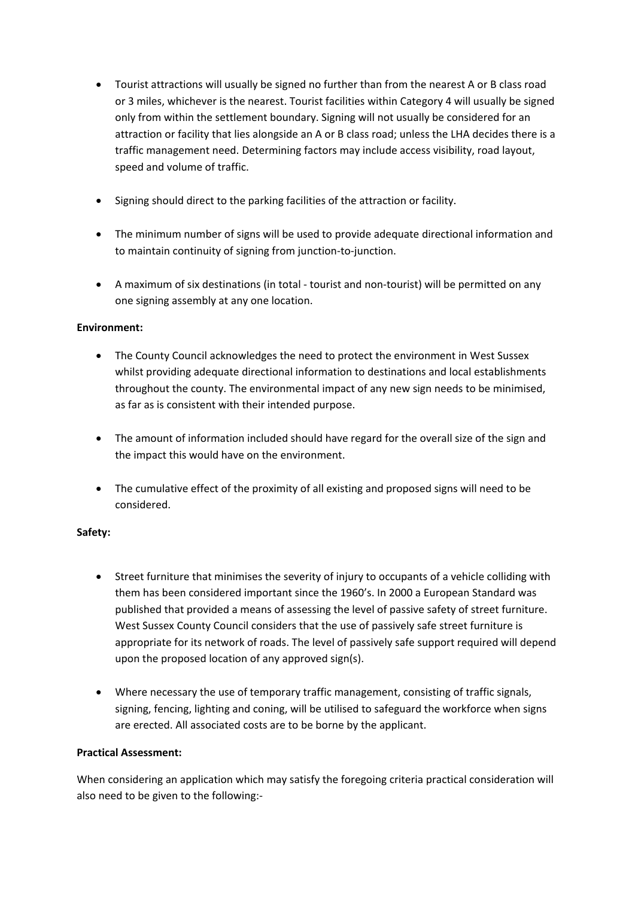- Tourist attractions will usually be signed no further than from the nearest A or B class road or 3 miles, whichever is the nearest. Tourist facilities within Category 4 will usually be signed only from within the settlement boundary. Signing will not usually be considered for an attraction or facility that lies alongside an A or B class road; unless the LHA decides there is a traffic management need. Determining factors may include access visibility, road layout, speed and volume of traffic.
- Signing should direct to the parking facilities of the attraction or facility.
- The minimum number of signs will be used to provide adequate directional information and to maintain continuity of signing from junction-to-junction.
- A maximum of six destinations (in total tourist and non-tourist) will be permitted on any one signing assembly at any one location.

# **Environment:**

- The County Council acknowledges the need to protect the environment in West Sussex whilst providing adequate directional information to destinations and local establishments throughout the county. The environmental impact of any new sign needs to be minimised, as far as is consistent with their intended purpose.
- The amount of information included should have regard for the overall size of the sign and the impact this would have on the environment.
- The cumulative effect of the proximity of all existing and proposed signs will need to be considered.

## **Safety:**

- Street furniture that minimises the severity of injury to occupants of a vehicle colliding with them has been considered important since the 1960's. In 2000 a European Standard was published that provided a means of assessing the level of passive safety of street furniture. West Sussex County Council considers that the use of passively safe street furniture is appropriate for its network of roads. The level of passively safe support required will depend upon the proposed location of any approved sign(s).
- Where necessary the use of temporary traffic management, consisting of traffic signals, signing, fencing, lighting and coning, will be utilised to safeguard the workforce when signs are erected. All associated costs are to be borne by the applicant.

## **Practical Assessment:**

When considering an application which may satisfy the foregoing criteria practical consideration will also need to be given to the following:-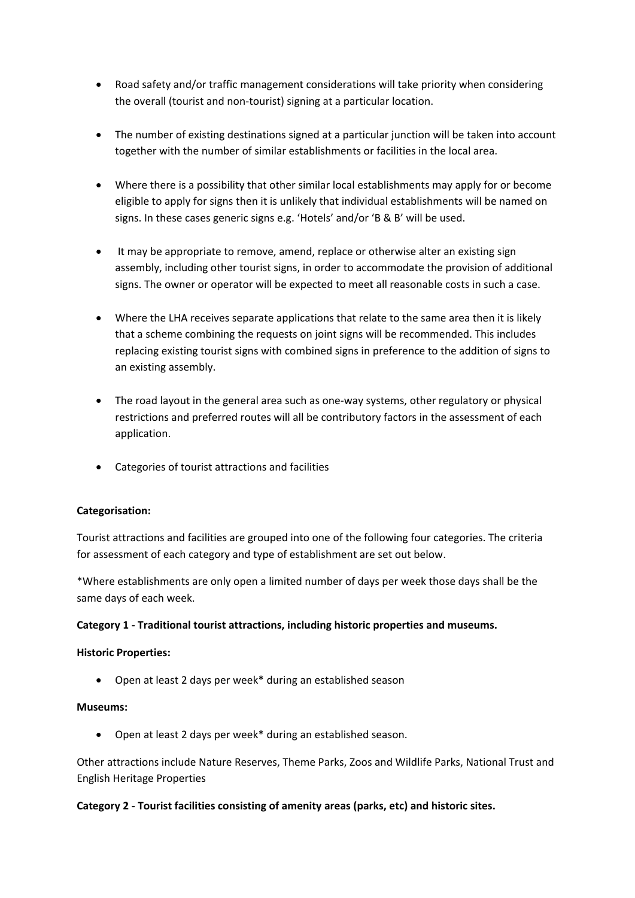- Road safety and/or traffic management considerations will take priority when considering the overall (tourist and non-tourist) signing at a particular location.
- The number of existing destinations signed at a particular junction will be taken into account together with the number of similar establishments or facilities in the local area.
- Where there is a possibility that other similar local establishments may apply for or become eligible to apply for signs then it is unlikely that individual establishments will be named on signs. In these cases generic signs e.g. 'Hotels' and/or 'B & B' will be used.
- It may be appropriate to remove, amend, replace or otherwise alter an existing sign assembly, including other tourist signs, in order to accommodate the provision of additional signs. The owner or operator will be expected to meet all reasonable costs in such a case.
- Where the LHA receives separate applications that relate to the same area then it is likely that a scheme combining the requests on joint signs will be recommended. This includes replacing existing tourist signs with combined signs in preference to the addition of signs to an existing assembly.
- The road layout in the general area such as one-way systems, other regulatory or physical restrictions and preferred routes will all be contributory factors in the assessment of each application.
- Categories of tourist attractions and facilities

# **Categorisation:**

Tourist attractions and facilities are grouped into one of the following four categories. The criteria for assessment of each category and type of establishment are set out below.

\*Where establishments are only open a limited number of days per week those days shall be the same days of each week.

## **Category 1 - Traditional tourist attractions, including historic properties and museums.**

## **Historic Properties:**

• Open at least 2 days per week\* during an established season

## **Museums:**

• Open at least 2 days per week\* during an established season.

Other attractions include Nature Reserves, Theme Parks, Zoos and Wildlife Parks, National Trust and English Heritage Properties

## **Category 2 - Tourist facilities consisting of amenity areas (parks, etc) and historic sites.**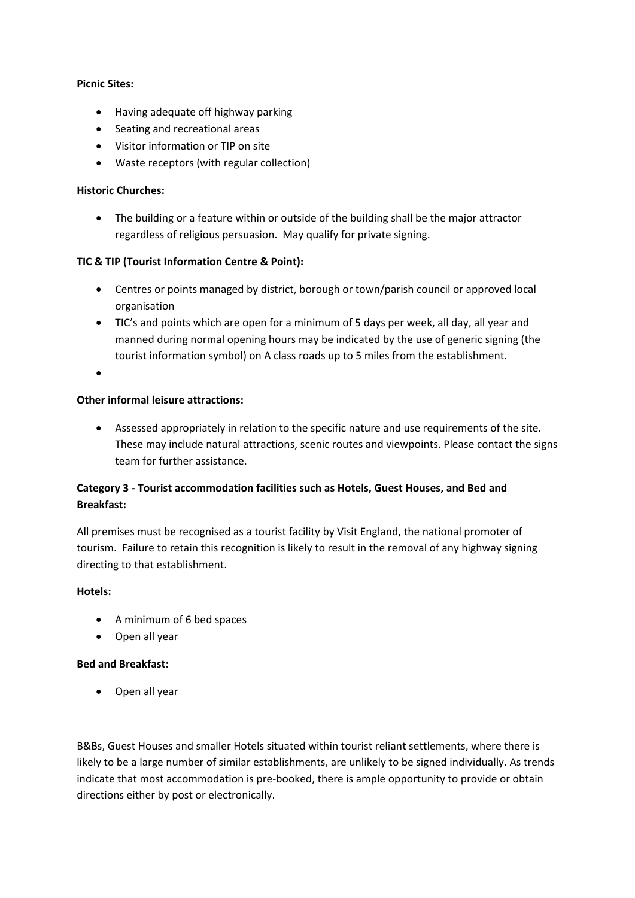## **Picnic Sites:**

- Having adequate off highway parking
- Seating and recreational areas
- Visitor information or TIP on site
- Waste receptors (with regular collection)

## **Historic Churches:**

• The building or a feature within or outside of the building shall be the major attractor regardless of religious persuasion. May qualify for private signing.

## **TIC & TIP (Tourist Information Centre & Point):**

- Centres or points managed by district, borough or town/parish council or approved local organisation
- TIC's and points which are open for a minimum of 5 days per week, all day, all year and manned during normal opening hours may be indicated by the use of generic signing (the tourist information symbol) on A class roads up to 5 miles from the establishment.
- •

## **Other informal leisure attractions:**

• Assessed appropriately in relation to the specific nature and use requirements of the site. These may include natural attractions, scenic routes and viewpoints. Please contact the signs team for further assistance.

# **Category 3 - Tourist accommodation facilities such as Hotels, Guest Houses, and Bed and Breakfast:**

All premises must be recognised as a tourist facility by Visit England, the national promoter of tourism. Failure to retain this recognition is likely to result in the removal of any highway signing directing to that establishment.

## **Hotels:**

- A minimum of 6 bed spaces
- Open all year

# **Bed and Breakfast:**

• Open all year

B&Bs, Guest Houses and smaller Hotels situated within tourist reliant settlements, where there is likely to be a large number of similar establishments, are unlikely to be signed individually. As trends indicate that most accommodation is pre-booked, there is ample opportunity to provide or obtain directions either by post or electronically.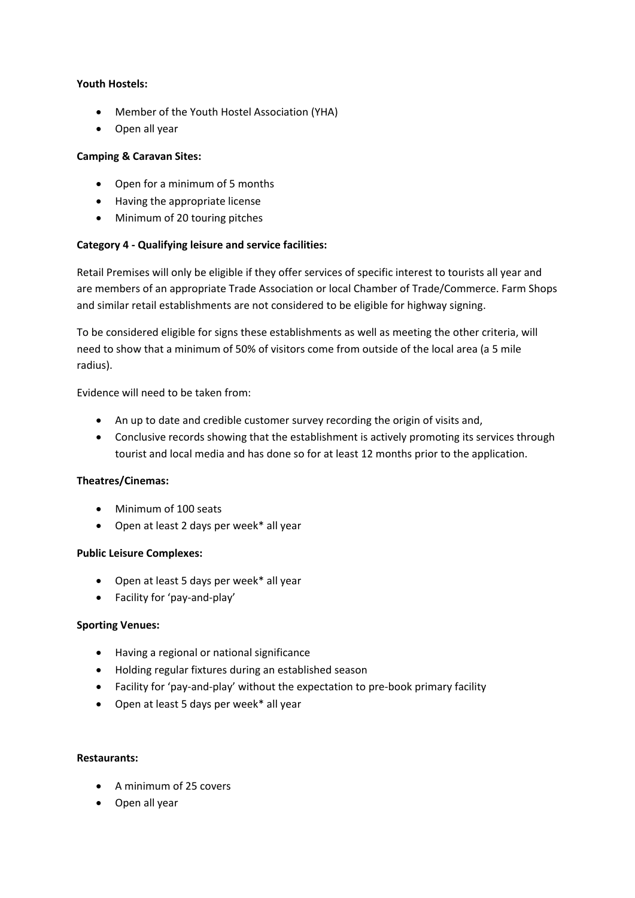## **Youth Hostels:**

- Member of the Youth Hostel Association (YHA)
- Open all year

# **Camping & Caravan Sites:**

- Open for a minimum of 5 months
- Having the appropriate license
- Minimum of 20 touring pitches

# **Category 4 - Qualifying leisure and service facilities:**

Retail Premises will only be eligible if they offer services of specific interest to tourists all year and are members of an appropriate Trade Association or local Chamber of Trade/Commerce. Farm Shops and similar retail establishments are not considered to be eligible for highway signing.

To be considered eligible for signs these establishments as well as meeting the other criteria, will need to show that a minimum of 50% of visitors come from outside of the local area (a 5 mile radius).

Evidence will need to be taken from:

- An up to date and credible customer survey recording the origin of visits and,
- Conclusive records showing that the establishment is actively promoting its services through tourist and local media and has done so for at least 12 months prior to the application.

# **Theatres/Cinemas:**

- Minimum of 100 seats
- Open at least 2 days per week\* all year

# **Public Leisure Complexes:**

- Open at least 5 days per week\* all year
- Facility for 'pay-and-play'

# **Sporting Venues:**

- Having a regional or national significance
- Holding regular fixtures during an established season
- Facility for 'pay-and-play' without the expectation to pre-book primary facility
- Open at least 5 days per week\* all year

## **Restaurants:**

- A minimum of 25 covers
- Open all year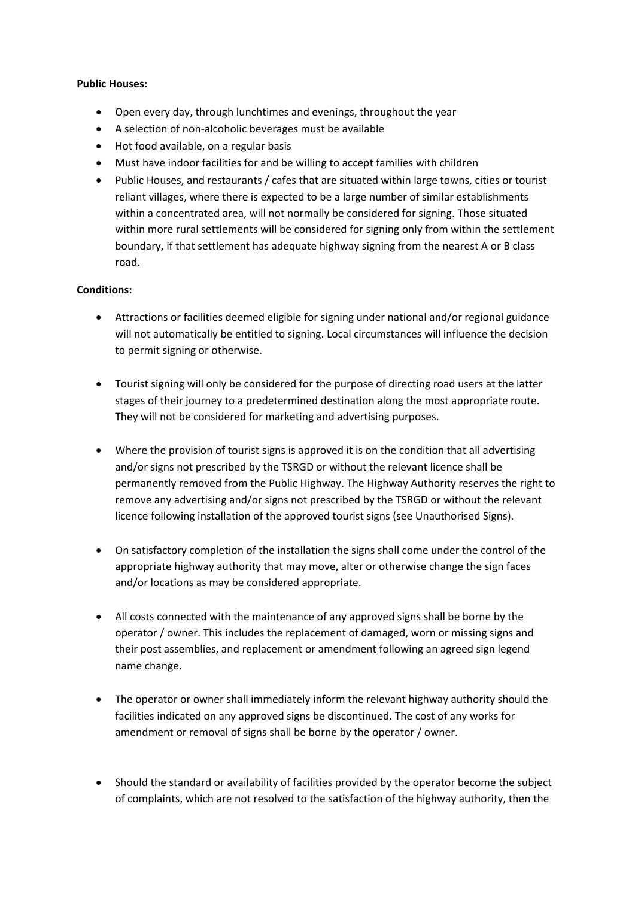## **Public Houses:**

- Open every day, through lunchtimes and evenings, throughout the year
- A selection of non-alcoholic beverages must be available
- Hot food available, on a regular basis
- Must have indoor facilities for and be willing to accept families with children
- Public Houses, and restaurants / cafes that are situated within large towns, cities or tourist reliant villages, where there is expected to be a large number of similar establishments within a concentrated area, will not normally be considered for signing. Those situated within more rural settlements will be considered for signing only from within the settlement boundary, if that settlement has adequate highway signing from the nearest A or B class road.

## **Conditions:**

- Attractions or facilities deemed eligible for signing under national and/or regional guidance will not automatically be entitled to signing. Local circumstances will influence the decision to permit signing or otherwise.
- Tourist signing will only be considered for the purpose of directing road users at the latter stages of their journey to a predetermined destination along the most appropriate route. They will not be considered for marketing and advertising purposes.
- Where the provision of tourist signs is approved it is on the condition that all advertising and/or signs not prescribed by the TSRGD or without the relevant licence shall be permanently removed from the Public Highway. The Highway Authority reserves the right to remove any advertising and/or signs not prescribed by the TSRGD or without the relevant licence following installation of the approved tourist signs (see Unauthorised Signs).
- On satisfactory completion of the installation the signs shall come under the control of the appropriate highway authority that may move, alter or otherwise change the sign faces and/or locations as may be considered appropriate.
- All costs connected with the maintenance of any approved signs shall be borne by the operator / owner. This includes the replacement of damaged, worn or missing signs and their post assemblies, and replacement or amendment following an agreed sign legend name change.
- The operator or owner shall immediately inform the relevant highway authority should the facilities indicated on any approved signs be discontinued. The cost of any works for amendment or removal of signs shall be borne by the operator / owner.
- Should the standard or availability of facilities provided by the operator become the subject of complaints, which are not resolved to the satisfaction of the highway authority, then the